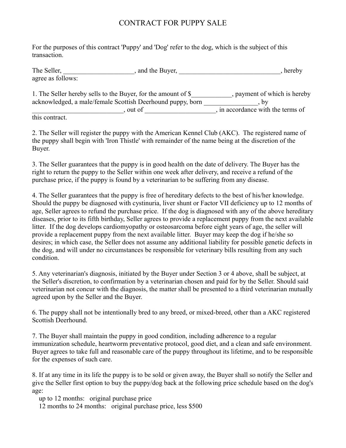## CONTRACT FOR PUPPY SALE

For the purposes of this contract 'Puppy' and 'Dog' refer to the dog, which is the subject of this transaction.

| The Seller,       | , and the Buyer, | hereby |
|-------------------|------------------|--------|
| agree as follows: |                  |        |
|                   |                  |        |

| 1. The Seller hereby sells to the Buyer, for the amount of \$ | , payment of which is hereby      |
|---------------------------------------------------------------|-----------------------------------|
| acknowledged, a male/female Scottish Deerhound puppy, born    |                                   |
| out of                                                        | , in accordance with the terms of |
|                                                               |                                   |

this contract.

2. The Seller will register the puppy with the American Kennel Club (AKC). The registered name of the puppy shall begin with 'Iron Thistle' with remainder of the name being at the discretion of the Buyer.

3. The Seller guarantees that the puppy is in good health on the date of delivery. The Buyer has the right to return the puppy to the Seller within one week after delivery, and receive a refund of the purchase price, if the puppy is found by a veterinarian to be suffering from any disease.

4. The Seller guarantees that the puppy is free of hereditary defects to the best of his/her knowledge. Should the puppy be diagnosed with cystinuria, liver shunt or Factor VII deficiency up to 12 months of age, Seller agrees to refund the purchase price. If the dog is diagnosed with any of the above hereditary diseases, prior to its fifth birthday, Seller agrees to provide a replacement puppy from the next available litter. If the dog develops cardiomyopathy or osteosarcoma before eight years of age, the seller will provide a replacement puppy from the next available litter. Buyer may keep the dog if he/she so desires; in which case, the Seller does not assume any additional liability for possible genetic defects in the dog, and will under no circumstances be responsible for veterinary bills resulting from any such condition.

5. Any veterinarian's diagnosis, initiated by the Buyer under Section 3 or 4 above, shall be subject, at the Seller's discretion, to confirmation by a veterinarian chosen and paid for by the Seller. Should said veterinarian not concur with the diagnosis, the matter shall be presented to a third veterinarian mutually agreed upon by the Seller and the Buyer.

6. The puppy shall not be intentionally bred to any breed, or mixed-breed, other than a AKC registered Scottish Deerhound.

7. The Buyer shall maintain the puppy in good condition, including adherence to a regular immunization schedule, heartworm preventative protocol, good diet, and a clean and safe environment. Buyer agrees to take full and reasonable care of the puppy throughout its lifetime, and to be responsible for the expenses of such care.

8. If at any time in its life the puppy is to be sold or given away, the Buyer shall so notify the Seller and give the Seller first option to buy the puppy/dog back at the following price schedule based on the dog's age:

up to 12 months: original purchase price

12 months to 24 months: original purchase price, less \$500